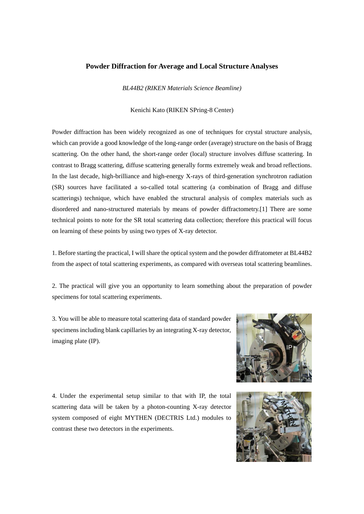## **Powder Diffraction for Average and Local Structure Analyses**

*BL44B2 (RIKEN Materials Science Beamline)* 

Kenichi Kato (RIKEN SPring-8 Center)

Powder diffraction has been widely recognized as one of techniques for crystal structure analysis, which can provide a good knowledge of the long-range order (average) structure on the basis of Bragg scattering. On the other hand, the short-range order (local) structure involves diffuse scattering. In contrast to Bragg scattering, diffuse scattering generally forms extremely weak and broad reflections. In the last decade, high-brilliance and high-energy X-rays of third-generation synchrotron radiation (SR) sources have facilitated a so-called total scattering (a combination of Bragg and diffuse scatterings) technique, which have enabled the structural analysis of complex materials such as disordered and nano-structured materials by means of powder diffractometry.[1] There are some technical points to note for the SR total scattering data collection; therefore this practical will focus on learning of these points by using two types of X-ray detector.

1. Before starting the practical, I will share the optical system and the powder diffratometer at BL44B2 from the aspect of total scattering experiments, as compared with overseas total scattering beamlines.

2. The practical will give you an opportunity to learn something about the preparation of powder specimens for total scattering experiments.

3. You will be able to measure total scattering data of standard powder specimens including blank capillaries by an integrating X-ray detector, imaging plate (IP).